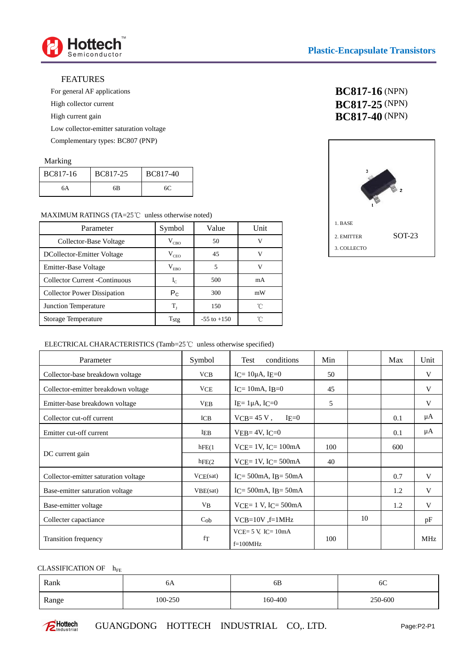

### FEATURES

For general AF applications

High collector current

High current gain

Low collector-emitter saturation voltage

Complementary types: BC807 (PNP)

### Marking

| BC817-16 | BC817-25 | <b>BC817-40</b> |
|----------|----------|-----------------|
| 6A       | 6B       | 60              |

## MAXIMUM RATINGS (TA= $25^{\circ}$ C unless otherwise noted)

| Parameter                             | Symbol        | Value           | Unit |
|---------------------------------------|---------------|-----------------|------|
| Collector-Base Voltage                | $V_{CBO}$     | 50              | v    |
| DCollector-Emitter Voltage            | $V_{CEO}$     | 45              | v    |
| Emitter-Base Voltage                  | $\rm V_{EBO}$ | 5               | v    |
| <b>Collector Current - Continuous</b> | $I_{C}$       | 500             | mA   |
| <b>Collector Power Dissipation</b>    | $P_{C}$       | 300             | mW   |
| Junction Temperature                  | $T_{\rm r}$   | 150             | ็∩°  |
| Storage Temperature                   | Tstg          | $-55$ to $+150$ | ′∩   |

# **BC817-16** (NPN) **BC817-25** (NPN) **BC817-40** (NPN)



# ELECTRICAL CHARACTERISTICS (Tamb=25 $\degree$ C unless otherwise specified)

| Parameter                            | Symbol       | conditions<br>Test                      | Min |    | Max | Unit       |
|--------------------------------------|--------------|-----------------------------------------|-----|----|-----|------------|
| Collector-base breakdown voltage     | VCB          | $I = 10\mu A$ , $I = 0$                 | 50  |    |     | V          |
| Collector-emitter breakdown voltage  | VCE          | $IC = 10mA$ , $IB = 0$                  | 45  |    |     | V          |
| Emitter-base breakdown voltage       | VEB          | IE= $1\mu$ A, IC=0                      | 5   |    |     | V          |
| Collector cut-off current            | $_{\rm ICB}$ | $VCB = 45 V$ ,<br>$IE=0$                |     |    | 0.1 | μA         |
| Emitter cut-off current              | IEB          | $VEB=4V, IC=0$                          |     |    | 0.1 | μA         |
|                                      | hFE(1)       | $VCE = 1V$ , $IC = 100mA$               | 100 |    | 600 |            |
| DC current gain                      | hFE(2)       | $VCE = 1V$ , $IC = 500mA$               | 40  |    |     |            |
| Collector-emitter saturation voltage | VCE(sat)     | $IC = 500mA$ , $IB = 50mA$              |     |    | 0.7 | V          |
| Base-emitter saturation voltage      | VBE(sat)     | $IC = 500mA$ , $IB = 50mA$              |     |    | 1.2 | V          |
| Base-emitter voltage                 | $V_{B}$      | $VCE = 1 V$ , $IC = 500mA$              |     |    | 1.2 | V          |
| Collecter capactiance                | $C_{ob}$     | $VCB=10V$ , $f=1MHz$                    |     | 10 |     | pF         |
| <b>Transition frequency</b>          | fТ           | $VCE = 5 V$ , $IC = 10mA$<br>$f=100MHz$ | 100 |    |     | <b>MHz</b> |

## CLASSIFICATION OF  $h_{FE}$

| Rank  | бA      | 6B      | 6C      |
|-------|---------|---------|---------|
| Range | 100-250 | 160-400 | 250-600 |



GUANGDONG HOTTECH INDUSTRIAL CO,. LTD.